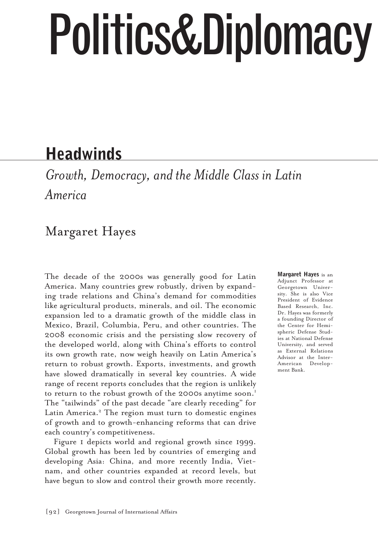# Politics&Diplomacy

## **Headwinds**

*Growth, Democracy, and the Middle Class in Latin America*

## Margaret Hayes

The decade of the 2000s was generally good for Latin America. Many countries grew robustly, driven by expanding trade relations and China's demand for commodities like agricultural products, minerals, and oil. The economic expansion led to a dramatic growth of the middle class in Mexico, Brazil, Columbia, Peru, and other countries. The 2008 economic crisis and the persisting slow recovery of the developed world, along with China's efforts to control its own growth rate, now weigh heavily on Latin America's return to robust growth. Exports, investments, and growth have slowed dramatically in several key countries. A wide range of recent reports concludes that the region is unlikely to return to the robust growth of the 2000s anytime soon.<sup>1</sup> The "tailwinds" of the past decade "are clearly receding" for Latin America.<sup>2</sup> The region must turn to domestic engines of growth and to growth-enhancing reforms that can drive each country's competitiveness.

Figure 1 depicts world and regional growth since 1999. Global growth has been led by countries of emerging and developing Asia: China, and more recently India, Vietnam, and other countries expanded at record levels, but have begun to slow and control their growth more recently.

Margaret Hayes is an Adjunct Professor at Georgetown University. She is also Vice President of Evidence Based Research, Inc. Dr. Hayes was formerly a founding Director of the Center for Hemispheric Defense Studies at National Defense University, and served as External Relations Advisor at the Inter-American Development Bank.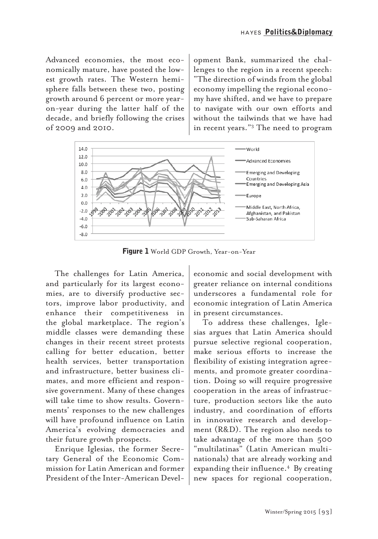Advanced economies, the most economically mature, have posted the lowest growth rates. The Western hemisphere falls between these two, posting growth around 6 percent or more yearon-year during the latter half of the decade, and briefly following the crises of 2009 and 2010.

opment Bank, summarized the challenges to the region in a recent speech: "The direction of winds from the global economy impelling the regional economy have shifted, and we have to prepare to navigate with our own efforts and without the tailwinds that we have had in recent years."3 The need to program



**Figure 1** World GDP Growth, Year-on-Year

The challenges for Latin America, and particularly for its largest economies, are to diversify productive sectors, improve labor productivity, and enhance their competitiveness in the global marketplace. The region's middle classes were demanding these changes in their recent street protests calling for better education, better health services, better transportation and infrastructure, better business climates, and more efficient and responsive government. Many of these changes will take time to show results. Governments' responses to the new challenges will have profound influence on Latin America's evolving democracies and their future growth prospects.

Enrique Iglesias, the former Secretary General of the Economic Commission for Latin American and former President of the Inter-American Develeconomic and social development with greater reliance on internal conditions underscores a fundamental role for economic integration of Latin America in present circumstances.

To address these challenges, Iglesias argues that Latin America should pursue selective regional cooperation, make serious efforts to increase the flexibility of existing integration agreements, and promote greater coordination. Doing so will require progressive cooperation in the areas of infrastructure, production sectors like the auto industry, and coordination of efforts in innovative research and development (R&D). The region also needs to take advantage of the more than 500 "multilatinas" (Latin American multinationals) that are already working and expanding their influence.<sup>4</sup> By creating new spaces for regional cooperation,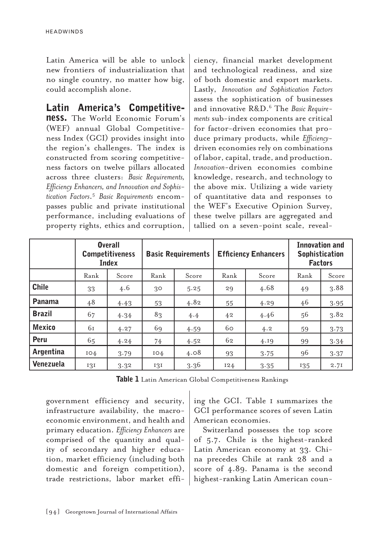HEADWINDS

Latin America will be able to unlock new frontiers of industrialization that no single country, no matter how big, could accomplish alone.

#### Latin America's Competitive-

ness. The World Economic Forum's (WEF) annual Global Competitiveness Index (GCI) provides insight into the region's challenges. The index is constructed from scoring competitiveness factors on twelve pillars allocated across three clusters: *Basic Requirements, Efficiency Enhancers, and Innovation and Sophistication Factors*. <sup>5</sup> *Basic Requirements* encompasses public and private institutional performance, including evaluations of property rights, ethics and corruption,

ciency, financial market development and technological readiness, and size of both domestic and export markets. Lastly, *Innovation and Sophistication Factors* assess the sophistication of businesses and innovative R&D.6 The *Basic Requirements* sub-index components are critical for factor-driven economies that produce primary products, while *Efficiency*driven economies rely on combinations of labor, capital, trade, and production. *Innovation*-driven economies combine knowledge, research, and technology to the above mix. Utilizing a wide variety of quantitative data and responses to the WEF's Executive Opinion Survey, these twelve pillars are aggregated and tallied on a seven-point scale, reveal-

|               | <b>Overall</b><br><b>Competitiveness</b><br><b>Index</b> |       | <b>Basic Requirements</b> |       | <b>Efficiency Enhancers</b> |       | Innovation and<br><b>Sophistication</b><br><b>Factors</b> |       |
|---------------|----------------------------------------------------------|-------|---------------------------|-------|-----------------------------|-------|-----------------------------------------------------------|-------|
|               | Rank                                                     | Score | Rank                      | Score | Rank                        | Score | Rank                                                      | Score |
| <b>Chile</b>  | 33                                                       | 4.6   | 30                        | 5.25  | 29                          | 4.68  | 49                                                        | 3.88  |
| <b>Panama</b> | 48                                                       | 4.43  | 53                        | 4.82  | 55                          | 4.29  | 46                                                        | 3.95  |
| <b>Brazil</b> | 67                                                       | 4.34  | 83                        | 4.4   | 42                          | 4.46  | 56                                                        | 3.82  |
| <b>Mexico</b> | 61                                                       | 4.27  | 69                        | 4.59  | 60                          | 4.2   | 59                                                        | 3.73  |
| Peru          | 65                                                       | 4.24  | 74                        | 4.52  | 62                          | 4.19  | 99                                                        | 3.34  |
| Argentina     | IO4                                                      | 3.79  | IO4                       | 4.08  | 93                          | 3.75  | 96                                                        | 3.37  |
| Venezuela     | 131                                                      | 3.32  | 131                       | 3.36  | I24                         | 3.35  | 135                                                       | 2.7I  |

Table 1 Latin American Global Competitiveness Rankings

government efficiency and security, infrastructure availability, the macroeconomic environment, and health and primary education. *Efficiency Enhancers* are comprised of the quantity and quality of secondary and higher education, market efficiency (including both domestic and foreign competition), trade restrictions, labor market effi-

ing the GCI. Table 1 summarizes the GCI performance scores of seven Latin American economies.

Switzerland possesses the top score of 5.7. Chile is the highest-ranked Latin American economy at 33. China precedes Chile at rank 28 and a score of 4.89. Panama is the second highest-ranking Latin American coun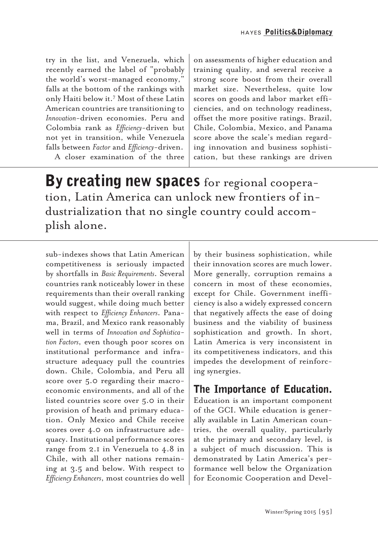try in the list, and Venezuela, which recently earned the label of "probably the world's worst-managed economy," falls at the bottom of the rankings with only Haiti below it.7 Most of these Latin American countries are transitioning to *Innovation*-driven economies. Peru and Colombia rank as *Efficiency*-driven but not yet in transition, while Venezuela falls between *Factor* and *Efficiency*-driven.

A closer examination of the three

on assessments of higher education and training quality, and several receive a strong score boost from their overall market size. Nevertheless, quite low scores on goods and labor market efficiencies, and on technology readiness, offset the more positive ratings. Brazil, Chile, Colombia, Mexico, and Panama score above the scale's median regarding innovation and business sophistication, but these rankings are driven

By creating new spaces for regional cooperation, Latin America can unlock new frontiers of industrialization that no single country could accomplish alone.

sub-indexes shows that Latin American competitiveness is seriously impacted by shortfalls in *Basic Requirements*. Several countries rank noticeably lower in these requirements than their overall ranking would suggest, while doing much better with respect to *Efficiency Enhancers*. Panama, Brazil, and Mexico rank reasonably well in terms of *Innovation and Sophistication Factors*, even though poor scores on institutional performance and infrastructure adequacy pull the countries down. Chile, Colombia, and Peru all score over 5.0 regarding their macroeconomic environments, and all of the listed countries score over 5.0 in their provision of heath and primary education. Only Mexico and Chile receive scores over 4.0 on infrastructure adequacy. Institutional performance scores range from 2.1 in Venezuela to 4.8 in Chile, with all other nations remaining at 3.5 and below. With respect to *Efficiency Enhancers*, most countries do well by their business sophistication, while their innovation scores are much lower. More generally, corruption remains a concern in most of these economies, except for Chile. Government inefficiency is also a widely expressed concern that negatively affects the ease of doing business and the viability of business sophistication and growth. In short, Latin America is very inconsistent in its competitiveness indicators, and this impedes the development of reinforcing synergies.

#### The Importance of Education.

Education is an important component of the GCI. While education is generally available in Latin American countries, the overall quality, particularly at the primary and secondary level, is a subject of much discussion. This is demonstrated by Latin America's performance well below the Organization for Economic Cooperation and Devel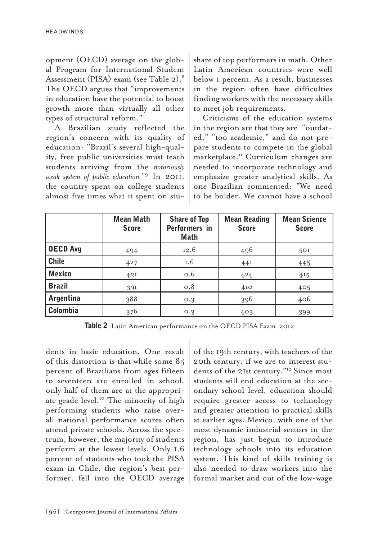opment (OECD) average on the global Program for International Student Assessment (PISA) exam (see Table 2).8 The OECD argues that "improvements in education have the potential to boost growth more than virtually all other types of structural reform."

A Brazilian study reflected the region's concern with its quality of education: "Brazil's several high-quality, free public universities must teach students arriving from the *notoriously weak system of public education.*"9 In 2011, the country spent on college students almost five times what it spent on stushare of top performers in math. Other Latin American countries were well below 1 percent. As a result, businesses in the region often have difficulties finding workers with the necessary skills to meet job requirements.

Criticisms of the education systems in the region are that they are "outdated," "too academic," and do not prepare students to compete in the global marketplace.<sup>11</sup> Curriculum changes are needed to incorporate technology and emphasize greater analytical skills. As one Brazilian commented: "We need to be bolder. We cannot have a school

|                 | Mean Math<br><b>Score</b> | <b>Share of Top</b><br>Performers in<br>Math | <b>Mean Reading</b><br><b>Score</b> | <b>Mean Science</b><br><b>Score</b> |
|-----------------|---------------------------|----------------------------------------------|-------------------------------------|-------------------------------------|
| <b>OECD Avg</b> | 494                       | 12.6                                         | 496                                 | 50I                                 |
| <b>Chile</b>    | 427                       | I.6                                          | 44I                                 | 445                                 |
| <b>Mexico</b>   | 42I                       | 0.6                                          | 424                                 | 415                                 |
| <b>Brazil</b>   | 391                       | $\circ$ .8                                   | 4I <sub>O</sub>                     | 405                                 |
| Argentina       | 388                       | O.3                                          | 396                                 | 406                                 |
| <b>Colombia</b> | 376                       | O.3                                          | 403                                 | 399                                 |

Table 2 Latin American performance on the OECD PISA Exam 2012

dents in basic education. One result of this distortion is that while some 85 percent of Brazilians from ages fifteen to seventeen are enrolled in school, only half of them are at the appropriate grade level.<sup>10</sup> The minority of high performing students who raise overall national performance scores often attend private schools. Across the spectrum, however, the majority of students perform at the lowest levels. Only 1.6 percent of students who took the PISA exam in Chile, the region's best performer, fell into the OECD average of the 19th century, with teachers of the 20th century, if we are to interest students of the 21st century."12 Since most students will end education at the secondary school level, education should require greater access to technology and greater attention to practical skills at earlier ages. Mexico, with one of the most dynamic industrial sectors in the region, has just begun to introduce technology schools into its education system. This kind of skills training is also needed to draw workers into the formal market and out of the low-wage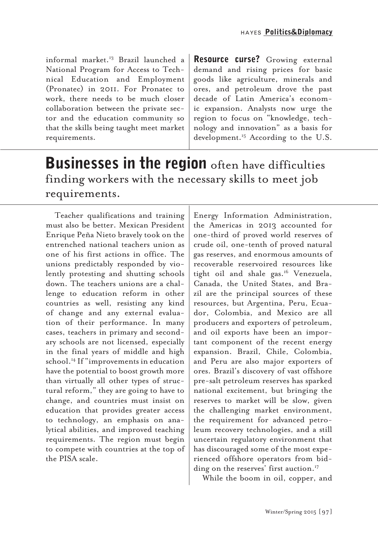informal market.13 Brazil launched a National Program for Access to Technical Education and Employment (Pronatec) in 2011. For Pronatec to work, there needs to be much closer collaboration between the private sector and the education community so that the skills being taught meet market requirements.

Resource curse? Growing external demand and rising prices for basic goods like agriculture, minerals and ores, and petroleum drove the past decade of Latin America's economic expansion. Analysts now urge the region to focus on "knowledge, technology and innovation" as a basis for development.<sup>15</sup> According to the U.S.

## **Businesses in the region** often have difficulties finding workers with the necessary skills to meet job requirements.

Teacher qualifications and training must also be better. Mexican President Enrique Peña Nieto bravely took on the entrenched national teachers union as one of his first actions in office. The unions predictably responded by violently protesting and shutting schools down. The teachers unions are a challenge to education reform in other countries as well, resisting any kind of change and any external evaluation of their performance. In many cases, teachers in primary and secondary schools are not licensed, especially in the final years of middle and high school.14 If "improvements in education have the potential to boost growth more than virtually all other types of structural reform," they are going to have to change, and countries must insist on education that provides greater access to technology, an emphasis on analytical abilities, and improved teaching requirements. The region must begin to compete with countries at the top of the PISA scale.

Energy Information Administration, the Americas in 2013 accounted for one-third of proved world reserves of crude oil, one-tenth of proved natural gas reserves, and enormous amounts of recoverable reservoired resources like tight oil and shale gas.16 Venezuela, Canada, the United States, and Brazil are the principal sources of these resources, but Argentina, Peru, Ecuador, Colombia, and Mexico are all producers and exporters of petroleum, and oil exports have been an important component of the recent energy expansion. Brazil, Chile, Colombia, and Peru are also major exporters of ores. Brazil's discovery of vast offshore pre-salt petroleum reserves has sparked national excitement, but bringing the reserves to market will be slow, given the challenging market environment, the requirement for advanced petroleum recovery technologies, and a still uncertain regulatory environment that has discouraged some of the most experienced offshore operators from bidding on the reserves' first auction.<sup>17</sup>

While the boom in oil, copper, and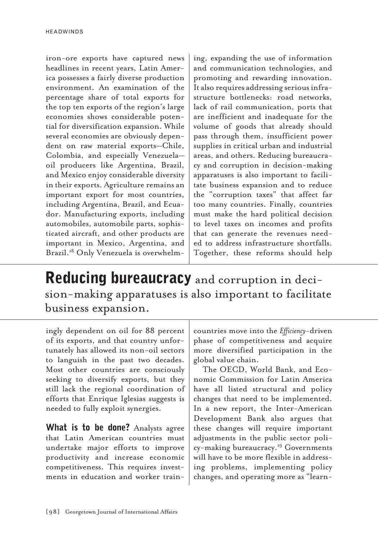iron-ore exports have captured news headlines in recent years, Latin America possesses a fairly diverse production environment. An examination of the percentage share of total exports for the top ten exports of the region's large economies shows considerable potential for diversification expansion. While several economies are obviously dependent on raw material exports—Chile, Colombia, and especially Venezuela oil producers like Argentina, Brazil, and Mexico enjoy considerable diversity in their exports. Agriculture remains an important export for most countries, including Argentina, Brazil, and Ecuador. Manufacturing exports, including automobiles, automobile parts, sophisticated aircraft, and other products are important in Mexico, Argentina, and Brazil.<sup>18</sup> Only Venezuela is overwhelm-

ing, expanding the use of information and communication technologies, and promoting and rewarding innovation. It also requires addressing serious infrastructure bottlenecks: road networks, lack of rail communication, ports that are inefficient and inadequate for the volume of goods that already should pass through them, insufficient power supplies in critical urban and industrial areas, and others. Reducing bureaucracy and corruption in decision-making apparatuses is also important to facilitate business expansion and to reduce the "corruption taxes" that affect far too many countries. Finally, countries must make the hard political decision to level taxes on incomes and profits that can generate the revenues needed to address infrastructure shortfalls. Together, these reforms should help

### Reducing bureaucracy and corruption in decision-making apparatuses is also important to facilitate business expansion.

ingly dependent on oil for 88 percent of its exports, and that country unfortunately has allowed its non-oil sectors to languish in the past two decades. Most other countries are consciously seeking to diversify exports, but they still lack the regional coordination of efforts that Enrique Iglesias suggests is needed to fully exploit synergies.

What is to be done? Analysts agree that Latin American countries must undertake major efforts to improve productivity and increase economic competitiveness. This requires investments in education and worker train-

countries move into the *Efficiency*-driven phase of competitiveness and acquire more diversified participation in the global value chain.

The OECD, World Bank, and Economic Commission for Latin America have all listed structural and policy changes that need to be implemented. In a new report, the Inter-American Development Bank also argues that these changes will require important adjustments in the public sector policy-making bureaucracy.<sup>19</sup> Governments will have to be more flexible in addressing problems, implementing policy changes, and operating more as "learn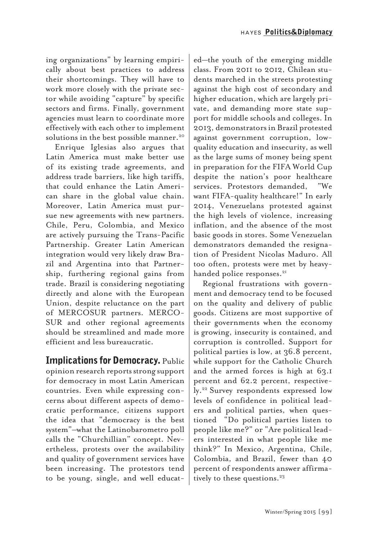ing organizations" by learning empirically about best practices to address their shortcomings. They will have to work more closely with the private sector while avoiding "capture" by specific sectors and firms. Finally, government agencies must learn to coordinate more effectively with each other to implement solutions in the best possible manner.<sup>20</sup>

Enrique Iglesias also argues that Latin America must make better use of its existing trade agreements, and address trade barriers, like high tariffs, that could enhance the Latin American share in the global value chain. Moreover, Latin America must pursue new agreements with new partners. Chile, Peru, Colombia, and Mexico are actively pursuing the Trans-Pacific Partnership. Greater Latin American integration would very likely draw Brazil and Argentina into that Partnership, furthering regional gains from trade. Brazil is considering negotiating directly and alone with the European Union, despite reluctance on the part of MERCOSUR partners. MERCO-SUR and other regional agreements should be streamlined and made more efficient and less bureaucratic.

Implications for Democracy. Public opinion research reports strong support for democracy in most Latin American countries. Even while expressing concerns about different aspects of democratic performance, citizens support the idea that "democracy is the best system"–what the Latinobarometro poll calls the "Churchillian" concept. Nevertheless, protests over the availability and quality of government services have been increasing. The protestors tend to be young, single, and well educat-

ed—the youth of the emerging middle class. From 2011 to 2012, Chilean students marched in the streets protesting against the high cost of secondary and higher education, which are largely private, and demanding more state support for middle schools and colleges. In 2013, demonstrators in Brazil protested against government corruption, lowquality education and insecurity, as well as the large sums of money being spent in preparation for the FIFA World Cup despite the nation's poor healthcare services. Protestors demanded, "We want FIFA-quality healthcare!" In early 2014, Venezuelans protested against the high levels of violence, increasing inflation, and the absence of the most basic goods in stores. Some Venezuelan demonstrators demanded the resignation of President Nicolas Maduro. All too often, protests were met by heavyhanded police responses.<sup>21</sup>

Regional frustrations with government and democracy tend to be focused on the quality and delivery of public goods. Citizens are most supportive of their governments when the economy is growing, insecurity is contained, and corruption is controlled. Support for political parties is low, at 36.8 percent, while support for the Catholic Church and the armed forces is high at 63.1 percent and 62.2 percent, respectively.22 Survey respondents expressed low levels of confidence in political leaders and political parties, when questioned "Do political parties listen to people like me?" or "Are political leaders interested in what people like me think?" In Mexico, Argentina, Chile, Colombia, and Brazil, fewer than 40 percent of respondents answer affirmatively to these questions.<sup>23</sup>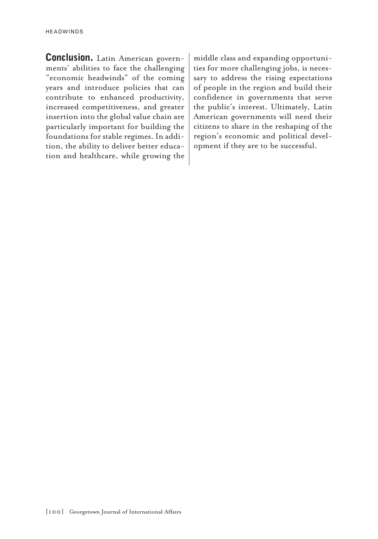Conclusion. Latin American governments' abilities to face the challenging "economic headwinds" of the coming years and introduce policies that can contribute to enhanced productivity, increased competitiveness, and greater insertion into the global value chain are particularly important for building the foundations for stable regimes. In addition, the ability to deliver better education and healthcare, while growing the

middle class and expanding opportunities for more challenging jobs, is necessary to address the rising expectations of people in the region and build their confidence in governments that serve the public's interest. Ultimately, Latin American governments will need their citizens to share in the reshaping of the region's economic and political development if they are to be successful.